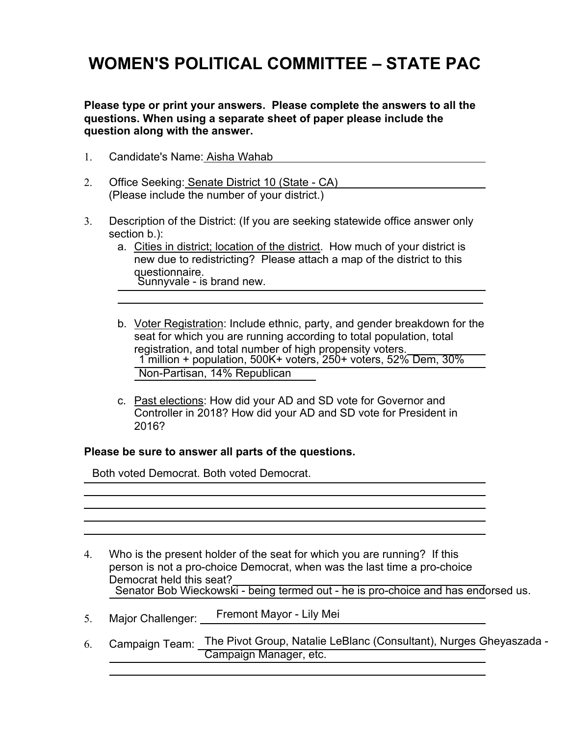## **WOMEN'S POLITICAL COMMITTEE – STATE PAC**

**Please type or print your answers. Please complete the answers to all the questions. When using a separate sheet of paper please include the question along with the answer.**

- 1. Candidate's Name: Aisha Wahab
- 2. Office Seeking: Senate District 10 (State CA) (Please include the number of your district.)
- 3. Description of the District: (If you are seeking statewide office answer only section b.):
	- a. Cities in district; location of the district. How much of your district is new due to redistricting? Please attach a map of the district to this questionnaire. Sunnyvale - is brand new.
	- b. Voter Registration: Include ethnic, party, and gender breakdown for the seat for which you are running according to total population, total registration, and total number of high propensity voters. \_\_\_\_\_ 1 million + population, 500K+ voters, 250+ voters, 52% Dem, 30% \_\_\_\_\_ Non-Partisan, 14% Republican

 $\frac{1}{2}$ 

c. Past elections: How did your AD and SD vote for Governor and Controller in 2018? How did your AD and SD vote for President in 2016?

## **Please be sure to answer all parts of the questions.**

Both voted Democrat. Both voted Democrat.

- 4. Who is the present holder of the seat for which you are running? If this person is not a pro-choice Democrat, when was the last time a pro-choice Democrat held this seat? Senator Bob Wieckowski - being termed out - he is pro-choice and has endorsed us.
- 5. Major Challenger: Fremont Mayor - Lily Mei
- 6. Campaign Team: The Pivot Group, Natalie LeBlanc (Consultant), Nurges Gheyaszada Campaign Manager, etc.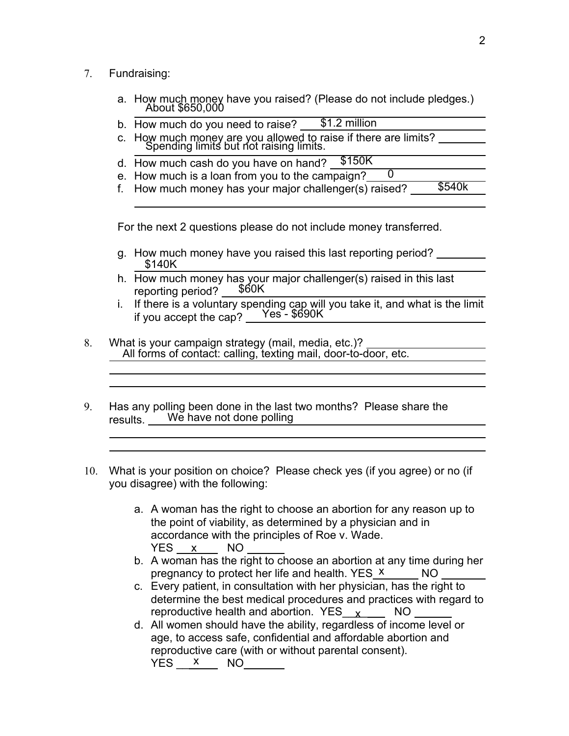- 7. Fundraising:
	- a. How much money have you raised? (Please do not include pledges.) About \$650,000
	- b. How much do you need to raise? \$1.2 million
	- c. How much money are you allowed to raise if there are limits? Spending limits but not raising limits.
	- d. How much cash do you have on hand? \$150K
	- e. How much is a loan from you to the campaign?  $\overline{0}$
	- f. How much money has your major challenger(s) raised? \$540k

For the next 2 questions please do not include money transferred.

- g. How much money have you raised this last reporting period? \$140K
- h. How much money has your major challenger(s) raised in this last reporting period? \$60K
- i. If there is a voluntary spending cap will you take it, and what is the limit if you accept the cap? \_\_Yes - \$690K
- 8. What is your campaign strategy (mail, media, etc.)? All forms of contact: calling, texting mail, door-to-door, etc.
- 9. Has any polling been done in the last two months? Please share the results. We have not done polling
- 10. What is your position on choice? Please check yes (if you agree) or no (if you disagree) with the following:
	- a. A woman has the right to choose an abortion for any reason up to the point of viability, as determined by a physician and in accordance with the principles of Roe v. Wade. YES <u>x N</u>O
	- b. A woman has the right to choose an abortion at any time during her pregnancy to protect her life and health. YES X NO
	- c. Every patient, in consultation with her physician, has the right to determine the best medical procedures and practices with regard to reproductive health and abortion. YES\_\_<sub>X\_\_</sub>\_\_\_\_ NO
	- d. All women should have the ability, regardless of income level or age, to access safe, confidential and affordable abortion and reproductive care (with or without parental consent). YES <u>x</u> NO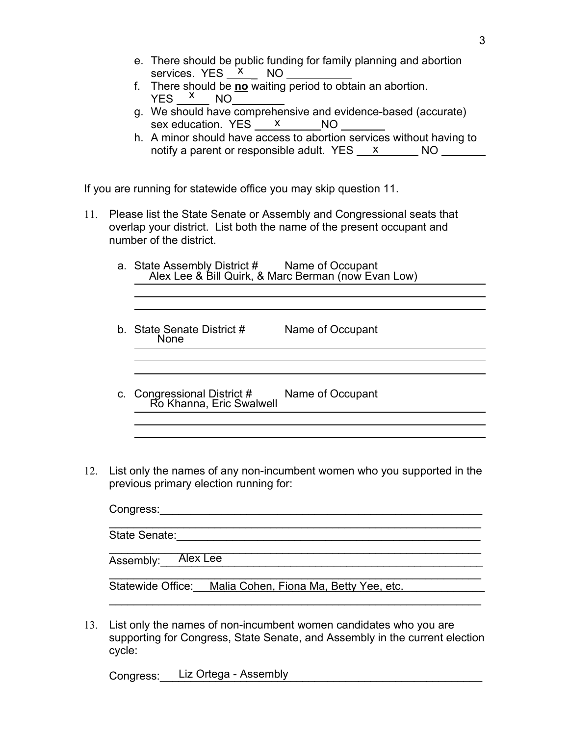- e. There should be public funding for family planning and abortion services. YES <u>X NO</u>
- f. There should be **no** waiting period to obtain an abortion.  $YES \xrightarrow{X} NO$
- g. We should have comprehensive and evidence-based (accurate) sex education. YES <u>X</u> NO
- h. A minor should have access to abortion services without having to notify a parent or responsible adult. YES <u>x x</u> NO

If you are running for statewide office you may skip question 11.

11. Please list the State Senate or Assembly and Congressional seats that overlap your district. List both the name of the present occupant and number of the district.

| a. State Assembly District # Name of Occupant<br>Alex Lee & Bill Quirk, & Marc Berman (now Evan Low) |                  |  |
|------------------------------------------------------------------------------------------------------|------------------|--|
|                                                                                                      |                  |  |
| b. State Senate District #<br><b>None</b>                                                            | Name of Occupant |  |
|                                                                                                      |                  |  |
|                                                                                                      |                  |  |
|                                                                                                      |                  |  |

- c. Congressional District # Name of Occupant Ro Khanna, Eric Swalwell
- 12. List only the names of any non-incumbent women who you supported in the previous primary election running for:

| Congress:                                                   |  |  |  |  |
|-------------------------------------------------------------|--|--|--|--|
| State Senate:                                               |  |  |  |  |
|                                                             |  |  |  |  |
| Assembly: Alex Lee                                          |  |  |  |  |
|                                                             |  |  |  |  |
| Malia Cohen, Fiona Ma, Betty Yee, etc.<br>Statewide Office: |  |  |  |  |
|                                                             |  |  |  |  |

13. List only the names of non-incumbent women candidates who you are supporting for Congress, State Senate, and Assembly in the current election cycle:

Congress: Liz Ortega - Assembly and the contract of the contract of the contract of the contract of the contract of the contract of the contract of the contract of the contract of the contract of the contract of the contra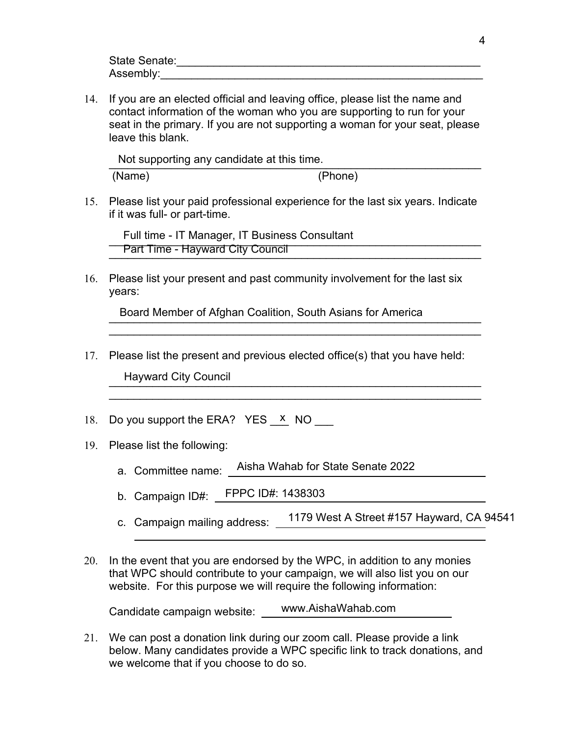| State Senate: |  |
|---------------|--|
| Assembly:     |  |

14. If you are an elected official and leaving office, please list the name and contact information of the woman who you are supporting to run for your seat in the primary. If you are not supporting a woman for your seat, please leave this blank.

Not supporting any candidate at this time.

(Name) (Phone)

15. Please list your paid professional experience for the last six years. Indicate if it was full- or part-time.

Full time - IT Manager, IT Business Consultant<br>
Full time - IT Manager, IT Business Consultant **Part Time - Hayward City Council Example 20 April 2014** 

16. Please list your present and past community involvement for the last six years:

Board Member of Afghan Coalition, South Asians for America

17. Please list the present and previous elected office(s) that you have held:

 $\mathcal{L}_\text{G}$  , and the contribution of the contribution of the contribution of the contribution of the contribution of the contribution of the contribution of the contribution of the contribution of the contribution of t

 $\mathcal{L}_\text{max}$  , and the contract of the contract of the contract of the contract of the contract of the contract of the contract of the contract of the contract of the contract of the contract of the contract of the contr

Hayward City Council and the council and the council of the council and the council and the council of the council

- 18. Do you support the ERA? YES  $X$  NO \_\_\_\_
- 19. Please list the following:
	- a. Committee name: Aisha Wahab for State Senate 2022
	- b. Campaign ID#: FPPC ID#: 1438303
	- c. Campaign mailing address: 1179 West A Street #157 Hayward, CA 94541
- 20. In the event that you are endorsed by the WPC, in addition to any monies that WPC should contribute to your campaign, we will also list you on our website. For this purpose we will require the following information:

| Candidate campaign website: | www.AishaWahab.com |
|-----------------------------|--------------------|
|                             |                    |

21. We can post a donation link during our zoom call. Please provide a link below. Many candidates provide a WPC specific link to track donations, and we welcome that if you choose to do so.